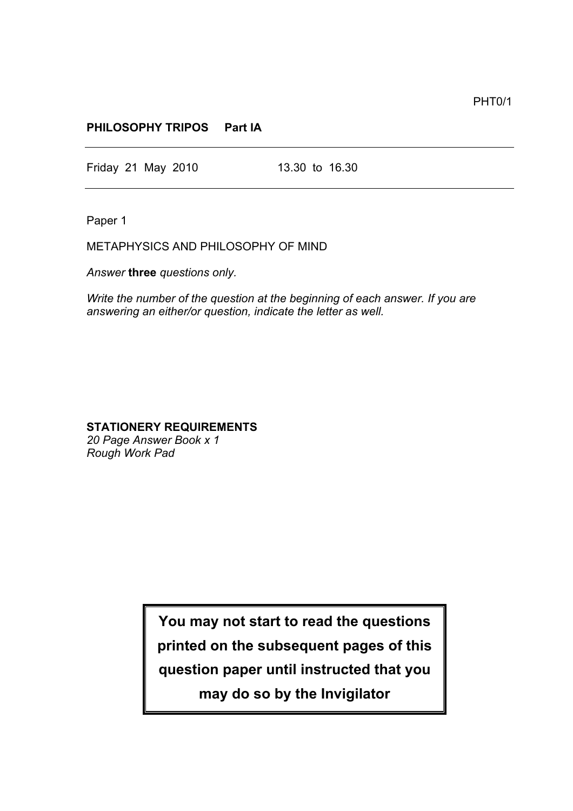PHT0/1

## **PHILOSOPHY TRIPOS Part IA**

Friday 21 May 2010 13.30 to 16.30

Paper 1

METAPHYSICS AND PHILOSOPHY OF MIND

*Answer* **three** *questions only.*

*Write the number of the question at the beginning of each answer. If you are answering an either/or question, indicate the letter as well.*

## **STATIONERY REQUIREMENTS**

*20 Page Answer Book x 1 Rough Work Pad*

> **You may not start to read the questions printed on the subsequent pages of this question paper until instructed that you may do so by the Invigilator**